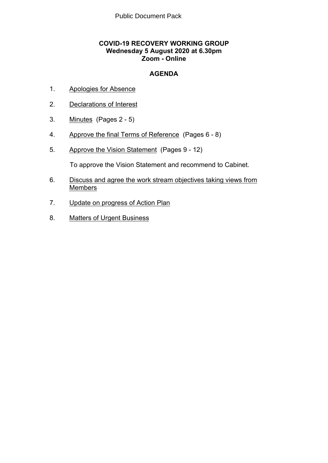# **COVID-19 RECOVERY WORKING GROUP Wednesday 5 August 2020 at 6.30pm Zoom - Online**

# **AGENDA**

- 1. Apologies for Absence
- 2. Declarations of Interest
- 3. Minutes(Pages 2 5)
- 4. Approve the final Terms of Reference(Pages 6 8)
- 5. Approve the Vision Statement(Pages 9 12)

To approve the Vision Statement and recommend to Cabinet.

- 6. Discuss and agree the work stream objectives taking views from Members
- 7. Update on progress of Action Plan
- 8. Matters of Urgent Business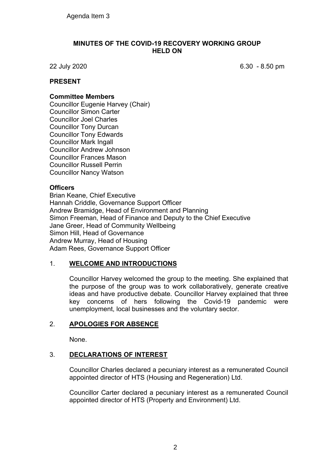## **MINUTES OF THE COVID-19 RECOVERY WORKING GROUP HELD ON**

22 July 2020 6.30 - 8.50 pm

# **PRESENT**

### **Committee Members**

Councillor Eugenie Harvey (Chair) Councillor Simon Carter Councillor Joel Charles Councillor Tony Durcan Councillor Tony Edwards Councillor Mark Ingall Councillor Andrew Johnson Councillor Frances Mason Councillor Russell Perrin Councillor Nancy Watson

### **Officers**

Brian Keane, Chief Executive Hannah Criddle, Governance Support Officer Andrew Bramidge, Head of Environment and Planning Simon Freeman, Head of Finance and Deputy to the Chief Executive Jane Greer, Head of Community Wellbeing Simon Hill, Head of Governance Andrew Murray, Head of Housing Adam Rees, Governance Support Officer

# 1. **WELCOME AND INTRODUCTIONS**

Councillor Harvey welcomed the group to the meeting. She explained that the purpose of the group was to work collaboratively, generate creative ideas and have productive debate. Councillor Harvey explained that three key concerns of hers following the Covid-19 pandemic were unemployment, local businesses and the voluntary sector.

# 2. **APOLOGIES FOR ABSENCE**

None.

# 3. **DECLARATIONS OF INTEREST**

Councillor Charles declared a pecuniary interest as a remunerated Council appointed director of HTS (Housing and Regeneration) Ltd.

Councillor Carter declared a pecuniary interest as a remunerated Council appointed director of HTS (Property and Environment) Ltd.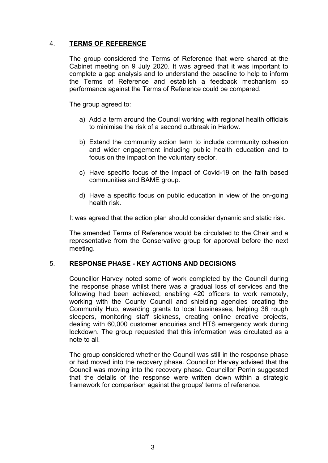# 4. **TERMS OF REFERENCE**

The group considered the Terms of Reference that were shared at the Cabinet meeting on 9 July 2020. It was agreed that it was important to complete a gap analysis and to understand the baseline to help to inform the Terms of Reference and establish a feedback mechanism so performance against the Terms of Reference could be compared.

The group agreed to:

- a) Add a term around the Council working with regional health officials to minimise the risk of a second outbreak in Harlow.
- b) Extend the community action term to include community cohesion and wider engagement including public health education and to focus on the impact on the voluntary sector.
- c) Have specific focus of the impact of Covid-19 on the faith based communities and BAME group.
- d) Have a specific focus on public education in view of the on-going health risk.

It was agreed that the action plan should consider dynamic and static risk.

The amended Terms of Reference would be circulated to the Chair and a representative from the Conservative group for approval before the next meeting.

# 5. **RESPONSE PHASE - KEY ACTIONS AND DECISIONS**

Councillor Harvey noted some of work completed by the Council during the response phase whilst there was a gradual loss of services and the following had been achieved; enabling 420 officers to work remotely, working with the County Council and shielding agencies creating the Community Hub, awarding grants to local businesses, helping 36 rough sleepers, monitoring staff sickness, creating online creative projects, dealing with 60,000 customer enquiries and HTS emergency work during lockdown. The group requested that this information was circulated as a note to all.

The group considered whether the Council was still in the response phase or had moved into the recovery phase. Councillor Harvey advised that the Council was moving into the recovery phase. Councillor Perrin suggested that the details of the response were written down within a strategic framework for comparison against the groups' terms of reference.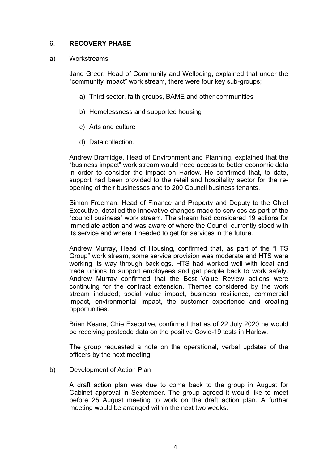# 6. **RECOVERY PHASE**

#### a) Workstreams

Jane Greer, Head of Community and Wellbeing, explained that under the "community impact" work stream, there were four key sub-groups;

- a) Third sector, faith groups, BAME and other communities
- b) Homelessness and supported housing
- c) Arts and culture
- d) Data collection.

Andrew Bramidge, Head of Environment and Planning, explained that the "business impact" work stream would need access to better economic data in order to consider the impact on Harlow. He confirmed that, to date, support had been provided to the retail and hospitality sector for the reopening of their businesses and to 200 Council business tenants.

Simon Freeman, Head of Finance and Property and Deputy to the Chief Executive, detailed the innovative changes made to services as part of the "council business" work stream. The stream had considered 19 actions for immediate action and was aware of where the Council currently stood with its service and where it needed to get for services in the future.

Andrew Murray, Head of Housing, confirmed that, as part of the "HTS Group" work stream, some service provision was moderate and HTS were working its way through backlogs. HTS had worked well with local and trade unions to support employees and get people back to work safely. Andrew Murray confirmed that the Best Value Review actions were continuing for the contract extension. Themes considered by the work stream included; social value impact, business resilience, commercial impact, environmental impact, the customer experience and creating opportunities.

Brian Keane, Chie Executive, confirmed that as of 22 July 2020 he would be receiving postcode data on the positive Covid-19 tests in Harlow.

The group requested a note on the operational, verbal updates of the officers by the next meeting.

# b) Development of Action Plan

A draft action plan was due to come back to the group in August for Cabinet approval in September. The group agreed it would like to meet before 25 August meeting to work on the draft action plan. A further meeting would be arranged within the next two weeks.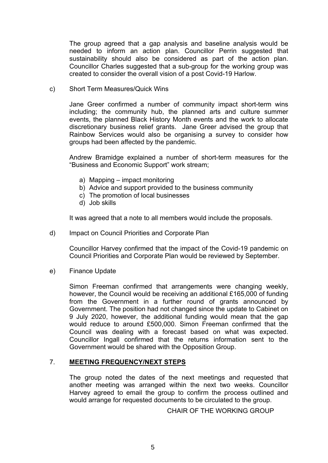The group agreed that a gap analysis and baseline analysis would be needed to inform an action plan. Councillor Perrin suggested that sustainability should also be considered as part of the action plan. Councillor Charles suggested that a sub-group for the working group was created to consider the overall vision of a post Covid-19 Harlow.

c) Short Term Measures/Quick Wins

Jane Greer confirmed a number of community impact short-term wins including; the community hub, the planned arts and culture summer events, the planned Black History Month events and the work to allocate discretionary business relief grants. Jane Greer advised the group that Rainbow Services would also be organising a survey to consider how groups had been affected by the pandemic.

Andrew Bramidge explained a number of short-term measures for the "Business and Economic Support" work stream;

- a) Mapping impact monitoring
- b) Advice and support provided to the business community
- c) The promotion of local businesses
- d) Job skills

It was agreed that a note to all members would include the proposals.

d) Impact on Council Priorities and Corporate Plan

Councillor Harvey confirmed that the impact of the Covid-19 pandemic on Council Priorities and Corporate Plan would be reviewed by September.

e) Finance Update

Simon Freeman confirmed that arrangements were changing weekly, however, the Council would be receiving an additional £165,000 of funding from the Government in a further round of grants announced by Government. The position had not changed since the update to Cabinet on 9 July 2020, however, the additional funding would mean that the gap would reduce to around £500,000. Simon Freeman confirmed that the Council was dealing with a forecast based on what was expected. Councillor Ingall confirmed that the returns information sent to the Government would be shared with the Opposition Group.

# 7. **MEETING FREQUENCY/NEXT STEPS**

The group noted the dates of the next meetings and requested that another meeting was arranged within the next two weeks. Councillor Harvey agreed to email the group to confirm the process outlined and would arrange for requested documents to be circulated to the group.

CHAIR OF THE WORKING GROUP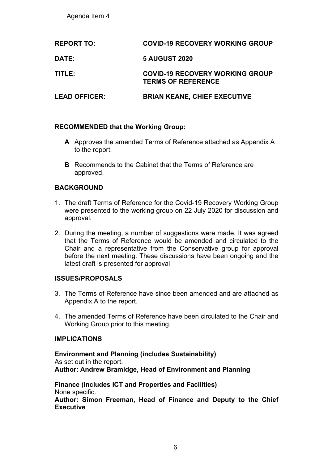Agenda Item 4

| <b>REPORT TO:</b>    | <b>COVID-19 RECOVERY WORKING GROUP</b>                              |
|----------------------|---------------------------------------------------------------------|
| <b>DATE:</b>         | <b>5 AUGUST 2020</b>                                                |
| TITLE:               | <b>COVID-19 RECOVERY WORKING GROUP</b><br><b>TERMS OF REFERENCE</b> |
| <b>LEAD OFFICER:</b> | <b>BRIAN KEANE, CHIEF EXECUTIVE</b>                                 |

# **RECOMMENDED that the Working Group:**

- **A** Approves the amended Terms of Reference attached as Appendix A to the report.
- **B** Recommends to the Cabinet that the Terms of Reference are approved.

# **BACKGROUND**

- 1. The draft Terms of Reference for the Covid-19 Recovery Working Group were presented to the working group on 22 July 2020 for discussion and approval.
- 2. During the meeting, a number of suggestions were made. It was agreed that the Terms of Reference would be amended and circulated to the Chair and a representative from the Conservative group for approval before the next meeting. These discussions have been ongoing and the latest draft is presented for approval

# **ISSUES/PROPOSALS**

- 3. The Terms of Reference have since been amended and are attached as Appendix A to the report.
- 4. The amended Terms of Reference have been circulated to the Chair and Working Group prior to this meeting.

# **IMPLICATIONS**

**Environment and Planning (includes Sustainability)** As set out in the report. **Author: Andrew Bramidge, Head of Environment and Planning**

**Finance (includes ICT and Properties and Facilities)** None specific. **Author: Simon Freeman, Head of Finance and Deputy to the Chief Executive**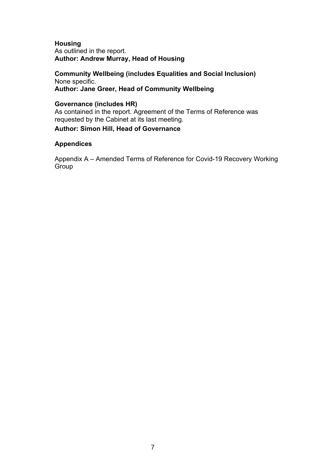### **Housing** As outlined in the report. **Author: Andrew Murray, Head of Housing**

**Community Wellbeing (includes Equalities and Social Inclusion)** None specific. **Author: Jane Greer, Head of Community Wellbeing**

## **Governance (includes HR)**

As contained in the report. Agreement of the Terms of Reference was requested by the Cabinet at its last meeting.

# **Author: Simon Hill, Head of Governance**

### **Appendices**

Appendix A – Amended Terms of Reference for Covid-19 Recovery Working Group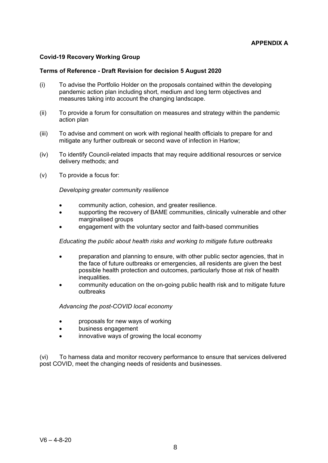#### **Covid-19 Recovery Working Group**

#### **Terms of Reference - Draft Revision for decision 5 August 2020**

- (i) To advise the Portfolio Holder on the proposals contained within the developing pandemic action plan including short, medium and long term objectives and measures taking into account the changing landscape.
- (ii) To provide a forum for consultation on measures and strategy within the pandemic action plan
- (iii) To advise and comment on work with regional health officials to prepare for and mitigate any further outbreak or second wave of infection in Harlow;
- (iv) To identify Council-related impacts that may require additional resources or service delivery methods; and
- (v) To provide a focus for:

#### *Developing greater community resilience*

- community action, cohesion, and greater resilience.
- supporting the recovery of BAME communities, clinically vulnerable and other marginalised groups
- engagement with the voluntary sector and faith-based communities

*Educating the public about health risks and working to mitigate future outbreaks*

- preparation and planning to ensure, with other public sector agencies, that in the face of future outbreaks or emergencies, all residents are given the best possible health protection and outcomes, particularly those at risk of health inequalities.
- community education on the on-going public health risk and to mitigate future outbreaks

#### *Advancing the post-COVID local economy*

- proposals for new ways of working
- business engagement
- innovative ways of growing the local economy

(vi) To harness data and monitor recovery performance to ensure that services delivered post COVID, meet the changing needs of residents and businesses.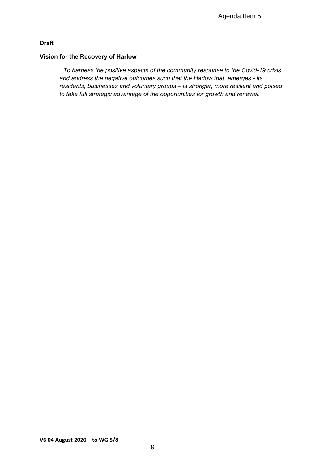# **Draft**

#### **Vision for the Recovery of Harlow**

*"To harness the positive aspects of the community response to the Covid-19 crisis and address the negative outcomes such that the Harlow that emerges - its residents, businesses and voluntary groups – is stronger, more resilient and poised to take full strategic advantage of the opportunities for growth and renewal."*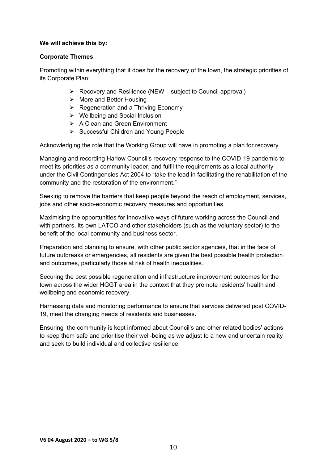### **We will achieve this by:**

### **Corporate Themes**

Promoting within everything that it does for the recovery of the town, the strategic priorities of its Corporate Plan:

- $\triangleright$  Recovery and Resilience (NEW subject to Council approval)
- $\triangleright$  More and Better Housing
- $\triangleright$  Regeneration and a Thriving Economy
- Wellbeing and Social Inclusion
- **▶ A Clean and Green Environment**
- $\triangleright$  Successful Children and Young People

Acknowledging the role that the Working Group will have in promoting a plan for recovery.

Managing and recording Harlow Council's recovery response to the COVID-19 pandemic to meet its priorities as a community leader, and fulfil the requirements as a local authority under the Civil Contingencies Act 2004 to "take the lead in facilitating the rehabilitation of the community and the restoration of the environment."

Seeking to remove the barriers that keep people beyond the reach of employment, services, jobs and other socio-economic recovery measures and opportunities.

Maximising the opportunities for innovative ways of future working across the Council and with partners, its own LATCO and other stakeholders (such as the voluntary sector) to the benefit of the local community and business sector.

Preparation and planning to ensure, with other public sector agencies, that in the face of future outbreaks or emergencies, all residents are given the best possible health protection and outcomes, particularly those at risk of health inequalities.

Securing the best possible regeneration and infrastructure improvement outcomes for the town across the wider HGGT area in the context that they promote residents' health and wellbeing and economic recovery.

Harnessing data and monitoring performance to ensure that services delivered post COVID-19, meet the changing needs of residents and businesses**.**

Ensuring the community is kept informed about Council's and other related bodies' actions to keep them safe and prioritise their well-being as we adjust to a new and uncertain reality and seek to build individual and collective resilience.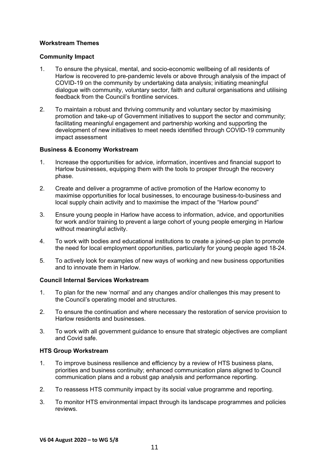#### **Workstream Themes**

#### **Community Impact**

- 1. To ensure the physical, mental, and socio-economic wellbeing of all residents of Harlow is recovered to pre-pandemic levels or above through analysis of the impact of COVID-19 on the community by undertaking data analysis; initiating meaningful dialogue with community, voluntary sector, faith and cultural organisations and utilising feedback from the Council's frontline services.
- 2. To maintain a robust and thriving community and voluntary sector by maximising promotion and take-up of Government initiatives to support the sector and community; facilitating meaningful engagement and partnership working and supporting the development of new initiatives to meet needs identified through COVID-19 community impact assessment

#### **Business & Economy Workstream**

- 1. Increase the opportunities for advice, information, incentives and financial support to Harlow businesses, equipping them with the tools to prosper through the recovery phase.
- 2. Create and deliver a programme of active promotion of the Harlow economy to maximise opportunities for local businesses, to encourage business-to-business and local supply chain activity and to maximise the impact of the "Harlow pound"
- 3. Ensure young people in Harlow have access to information, advice, and opportunities for work and/or training to prevent a large cohort of young people emerging in Harlow without meaningful activity.
- 4. To work with bodies and educational institutions to create a joined-up plan to promote the need for local employment opportunities, particularly for young people aged 18-24.
- 5. To actively look for examples of new ways of working and new business opportunities and to innovate them in Harlow.

#### **Council Internal Services Workstream**

- 1. To plan for the new 'normal' and any changes and/or challenges this may present to the Council's operating model and structures.
- 2. To ensure the continuation and where necessary the restoration of service provision to Harlow residents and businesses.
- 3. To work with all government guidance to ensure that strategic objectives are compliant and Covid safe.

#### **HTS Group Workstream**

- 1. To improve business resilience and efficiency by a review of HTS business plans, priorities and business continuity; enhanced communication plans aligned to Council communication plans and a robust gap analysis and performance reporting.
- 2. To reassess HTS community impact by its social value programme and reporting.
- 3. To monitor HTS environmental impact through its landscape programmes and policies reviews.